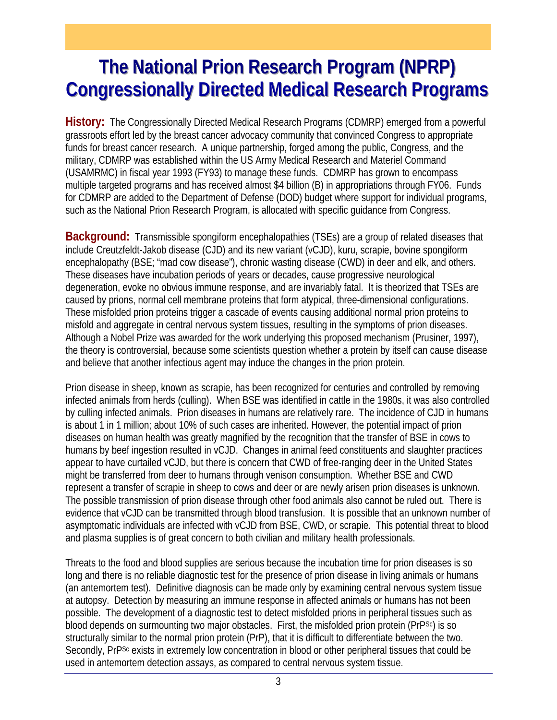# **The National Prion Research Program (NPRP) Congressionally Directed Medical Research Programs**

**History:** The Congressionally Directed Medical Research Programs (CDMRP) emerged from a powerful grassroots effort led by the breast cancer advocacy community that convinced Congress to appropriate funds for breast cancer research. A unique partnership, forged among the public, Congress, and the military, CDMRP was established within the US Army Medical Research and Materiel Command (USAMRMC) in fiscal year 1993 (FY93) to manage these funds. CDMRP has grown to encompass multiple targeted programs and has received almost \$4 billion (B) in appropriations through FY06. Funds for CDMRP are added to the Department of Defense (DOD) budget where support for individual programs, such as the National Prion Research Program, is allocated with specific guidance from Congress.

**Background:** Transmissible spongiform encephalopathies (TSEs) are a group of related diseases that include Creutzfeldt-Jakob disease (CJD) and its new variant (vCJD), kuru, scrapie, bovine spongiform encephalopathy (BSE; "mad cow disease"), chronic wasting disease (CWD) in deer and elk, and others. These diseases have incubation periods of years or decades, cause progressive neurological degeneration, evoke no obvious immune response, and are invariably fatal. It is theorized that TSEs are caused by prions, normal cell membrane proteins that form atypical, three-dimensional configurations. These misfolded prion proteins trigger a cascade of events causing additional normal prion proteins to misfold and aggregate in central nervous system tissues, resulting in the symptoms of prion diseases. Although a Nobel Prize was awarded for the work underlying this proposed mechanism (Prusiner, 1997), the theory is controversial, because some scientists question whether a protein by itself can cause disease and believe that another infectious agent may induce the changes in the prion protein.

Prion disease in sheep, known as scrapie, has been recognized for centuries and controlled by removing infected animals from herds (culling). When BSE was identified in cattle in the 1980s, it was also controlled by culling infected animals. Prion diseases in humans are relatively rare. The incidence of CJD in humans is about 1 in 1 million; about 10% of such cases are inherited. However, the potential impact of prion diseases on human health was greatly magnified by the recognition that the transfer of BSE in cows to humans by beef ingestion resulted in vCJD. Changes in animal feed constituents and slaughter practices appear to have curtailed vCJD, but there is concern that CWD of free-ranging deer in the United States might be transferred from deer to humans through venison consumption. Whether BSE and CWD represent a transfer of scrapie in sheep to cows and deer or are newly arisen prion diseases is unknown. The possible transmission of prion disease through other food animals also cannot be ruled out. There is evidence that vCJD can be transmitted through blood transfusion. It is possible that an unknown number of asymptomatic individuals are infected with vCJD from BSE, CWD, or scrapie. This potential threat to blood and plasma supplies is of great concern to both civilian and military health professionals.

Threats to the food and blood supplies are serious because the incubation time for prion diseases is so long and there is no reliable diagnostic test for the presence of prion disease in living animals or humans (an antemortem test). Definitive diagnosis can be made only by examining central nervous system tissue at autopsy. Detection by measuring an immune response in affected animals or humans has not been possible. The development of a diagnostic test to detect misfolded prions in peripheral tissues such as blood depends on surmounting two major obstacles. First, the misfolded prion protein (PrP<sup>Sc</sup>) is so structurally similar to the normal prion protein (PrP), that it is difficult to differentiate between the two. Secondly, PrP<sup>Sc</sup> exists in extremely low concentration in blood or other peripheral tissues that could be used in antemortem detection assays, as compared to central nervous system tissue.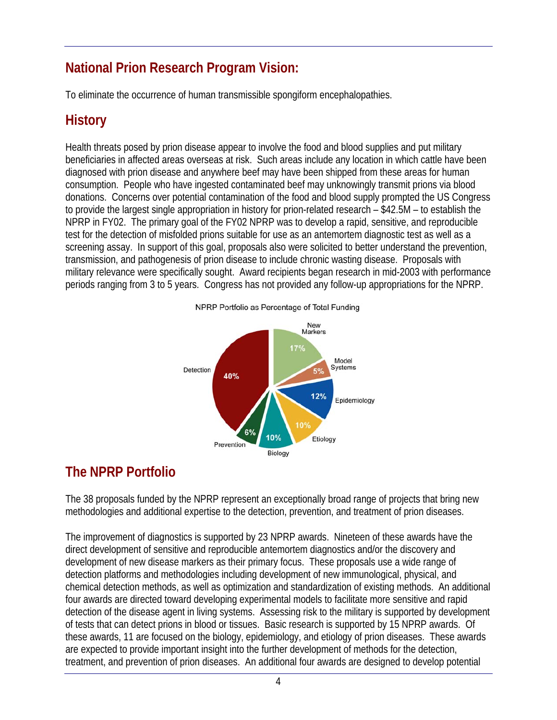### **National Prion Research Program Vision:**

To eliminate the occurrence of human transmissible spongiform encephalopathies.

### **History**

Health threats posed by prion disease appear to involve the food and blood supplies and put military beneficiaries in affected areas overseas at risk. Such areas include any location in which cattle have been diagnosed with prion disease and anywhere beef may have been shipped from these areas for human consumption. People who have ingested contaminated beef may unknowingly transmit prions via blood donations. Concerns over potential contamination of the food and blood supply prompted the US Congress to provide the largest single appropriation in history for prion-related research – \$42.5M – to establish the NPRP in FY02. The primary goal of the FY02 NPRP was to develop a rapid, sensitive, and reproducible test for the detection of misfolded prions suitable for use as an antemortem diagnostic test as well as a screening assay. In support of this goal, proposals also were solicited to better understand the prevention, transmission, and pathogenesis of prion disease to include chronic wasting disease. Proposals with military relevance were specifically sought. Award recipients began research in mid-2003 with performance periods ranging from 3 to 5 years. Congress has not provided any follow-up appropriations for the NPRP.



### **The NPRP Portfolio**

The 38 proposals funded by the NPRP represent an exceptionally broad range of projects that bring new methodologies and additional expertise to the detection, prevention, and treatment of prion diseases.

The improvement of diagnostics is supported by 23 NPRP awards. Nineteen of these awards have the direct development of sensitive and reproducible antemortem diagnostics and/or the discovery and development of new disease markers as their primary focus. These proposals use a wide range of detection platforms and methodologies including development of new immunological, physical, and chemical detection methods, as well as optimization and standardization of existing methods. An additional four awards are directed toward developing experimental models to facilitate more sensitive and rapid detection of the disease agent in living systems. Assessing risk to the military is supported by development of tests that can detect prions in blood or tissues. Basic research is supported by 15 NPRP awards. Of these awards, 11 are focused on the biology, epidemiology, and etiology of prion diseases. These awards are expected to provide important insight into the further development of methods for the detection, treatment, and prevention of prion diseases. An additional four awards are designed to develop potential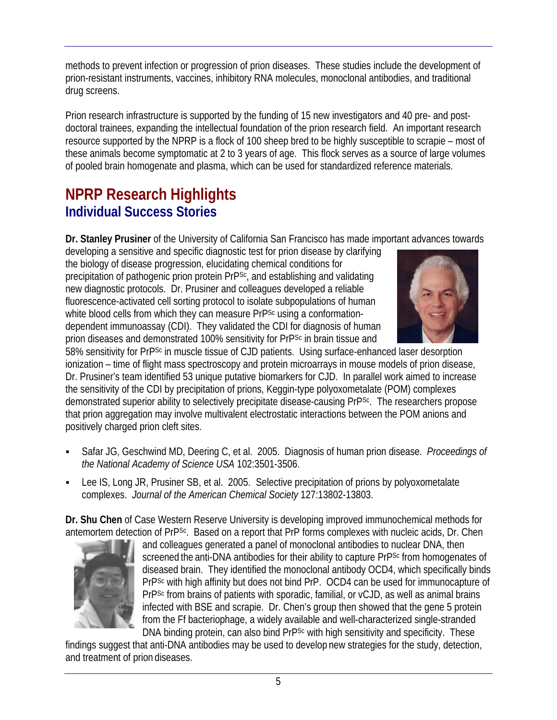methods to prevent infection or progression of prion diseases. These studies include the development of prion-resistant instruments, vaccines, inhibitory RNA molecules, monoclonal antibodies, and traditional drug screens.

Prion research infrastructure is supported by the funding of 15 new investigators and 40 pre- and postdoctoral trainees, expanding the intellectual foundation of the prion research field. An important research resource supported by the NPRP is a flock of 100 sheep bred to be highly susceptible to scrapie – most of these animals become symptomatic at 2 to 3 years of age. This flock serves as a source of large volumes of pooled brain homogenate and plasma, which can be used for standardized reference materials.

### **NPRP Research Highlights Individual Success Stories**

**Dr. Stanley Prusiner** of the University of California San Francisco has made important advances towards

developing a sensitive and specific diagnostic test for prion disease by clarifying the biology of disease progression, elucidating chemical conditions for precipitation of pathogenic prion protein PrPSc, and establishing and validating new diagnostic protocols. Dr. Prusiner and colleagues developed a reliable fluorescence-activated cell sorting protocol to isolate subpopulations of human white blood cells from which they can measure PrP<sup>Sc</sup> using a conformationdependent immunoassay (CDI). They validated the CDI for diagnosis of human prion diseases and demonstrated 100% sensitivity for PrPSc in brain tissue and



58% sensitivity for PrPSc in muscle tissue of CJD patients. Using surface-enhanced laser desorption ionization – time of flight mass spectroscopy and protein microarrays in mouse models of prion disease, Dr. Prusiner's team identified 53 unique putative biomarkers for CJD. In parallel work aimed to increase the sensitivity of the CDI by precipitation of prions, Keggin-type polyoxometalate (POM) complexes demonstrated superior ability to selectively precipitate disease-causing PrPSc. The researchers propose that prion aggregation may involve multivalent electrostatic interactions between the POM anions and positively charged prion cleft sites.

- Safar JG, Geschwind MD, Deering C, et al. 2005. Diagnosis of human prion disease. *Proceedings of the National Academy of Science USA* 102:3501-3506.
- [Lee IS](http://www.ncbi.nlm.nih.gov/entrez/query.fcgi?db=pubmed&cmd=Search&itool=pubmed_Abstract&term=%22Lee+IS%22%5BAuthor%5D), [Long JR,](http://www.ncbi.nlm.nih.gov/entrez/query.fcgi?db=pubmed&cmd=Search&itool=pubmed_Abstract&term=%22Long+JR%22%5BAuthor%5D) [Prusiner SB,](http://www.ncbi.nlm.nih.gov/entrez/query.fcgi?db=pubmed&cmd=Search&itool=pubmed_Abstract&term=%22Prusiner+SB%22%5BAuthor%5D) et al. 2005. Selective precipitation of prions by polyoxometalate complexes. *Journal of the American Chemical Society* 127:13802-13803.

**Dr. Shu Chen** of Case Western Reserve University is developing improved immunochemical methods for antemortem detection of PrPSc. Based on a report that PrP forms complexes with nucleic acids, Dr. Chen



and colleagues generated a panel of monoclonal antibodies to nuclear DNA, then screened the anti-DNA antibodies for their ability to capture PrP<sup>Sc</sup> from homogenates of diseased brain. They identified the monoclonal antibody OCD4, which specifically binds PrPSc with high affinity but does not bind PrP. OCD4 can be used for immunocapture of PrPSc from brains of patients with sporadic, familial, or vCJD, as well as animal brains infected with BSE and scrapie. Dr. Chen's group then showed that the gene 5 protein from the Ff bacteriophage, a widely available and well-characterized single-stranded DNA binding protein, can also bind PrP<sup>Sc</sup> with high sensitivity and specificity. These

findings suggest that anti-DNA antibodies may be used to develop new strategies for the study, detection, and treatment of prion diseases.